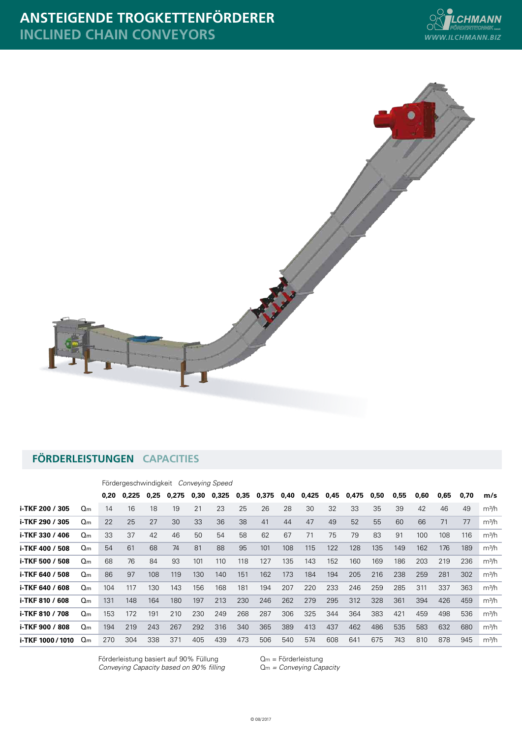



## **FÖRDERLEISTUNGEN CAPACITIES**

Fördergeschwindigkeit *Conveying Speed*

|                   |                | 0.20 | 0.225 | 0,25 | 0.275 | 0,30 | 0,325 | 0,35 | 0,375 | 0,40 | 0,425 | 0,45 | 0,475 | 0,50 | 0,55 | 0,60 | 0,65 | 0,70 | m/s               |
|-------------------|----------------|------|-------|------|-------|------|-------|------|-------|------|-------|------|-------|------|------|------|------|------|-------------------|
| i-TKF 200 / 305   | $Q_{m}$        | 14   | 16    | 18   | 19    | 21   | 23    | 25   | 26    | 28   | 30    | 32   | 33    | 35   | 39   | 42   | 46   | 49   | m <sup>3</sup> /h |
| i-TKF 290 / 305   | Q <sub>m</sub> | 22   | 25    | 27   | 30    | 33   | 36    | 38   | 41    | 44   | 47    | 49   | 52    | 55   | 60   | 66   | 71   | 77   | m <sup>3</sup> /h |
| i-TKF 330 / 406   | $Q_{m}$        | 33   | 37    | 42   | 46    | 50   | 54    | 58   | 62    | 67   | 71    | 75   | 79    | 83   | 91   | 100  | 108  | 116  | m <sup>3</sup> /h |
| i-TKF 400 / 508   | $Q_{m}$        | 54   | 61    | 68   | 74    | 81   | 88    | 95   | 101   | 108  | 115   | 122  | 128   | 135  | 149  | 162  | 176  | 189  | m <sup>3</sup> /h |
| i-TKF 500 / 508   | $Q_{m}$        | 68   | 76    | 84   | 93    | 101  | 110   | 118  | 127   | 135  | 143   | 152  | 160   | 169  | 186  | 203  | 219  | 236  | m <sup>3</sup> /h |
| i-TKF 640 / 508   | Q <sub>m</sub> | 86   | 97    | 108  | 119   | 130  | 140   | 151  | 162   | 173  | 184   | 194  | 205   | 216  | 238  | 259  | 281  | 302  | m <sup>3</sup> /h |
| i-TKF 640 / 608   | $Q_{m}$        | 104  | 117   | 130  | 143   | 156  | 168   | 181  | 194   | 207  | 220   | 233  | 246   | 259  | 285  | 311  | 337  | 363  | m <sup>3</sup> /h |
| i-TKF 810 / 608   | Q <sub>m</sub> | 131  | 148   | 164  | 180   | 197  | 213   | 230  | 246   | 262  | 279   | 295  | 312   | 328  | 361  | 394  | 426  | 459  | m <sup>3</sup> /h |
| i-TKF 810 / 708   | Q <sub>m</sub> | 153  | 172   | 191  | 210   | 230  | 249   | 268  | 287   | 306  | 325   | 344  | 364   | 383  | 421  | 459  | 498  | 536  | m <sup>3</sup> /h |
| i-TKF 900 / 808   | Q <sub>m</sub> | 194  | 219   | 243  | 267   | 292  | 316   | 340  | 365   | 389  | 413   | 437  | 462   | 486  | 535  | 583  | 632  | 680  | m <sup>3</sup> /h |
| i-TKF 1000 / 1010 | $Q_{m}$        | 270  | 304   | 338  | 371   | 405  | 439   | 473  | 506   | 540  | 574   | 608  | 641   | 675  | 743  | 810  | 878  | 945  | m <sup>3</sup> /h |

Förderleistung basiert auf 90% Füllung  $Q_m =$  Förderleistung *Conveying Capacity based on 90% filling* Qm *= Conveying Capacity*